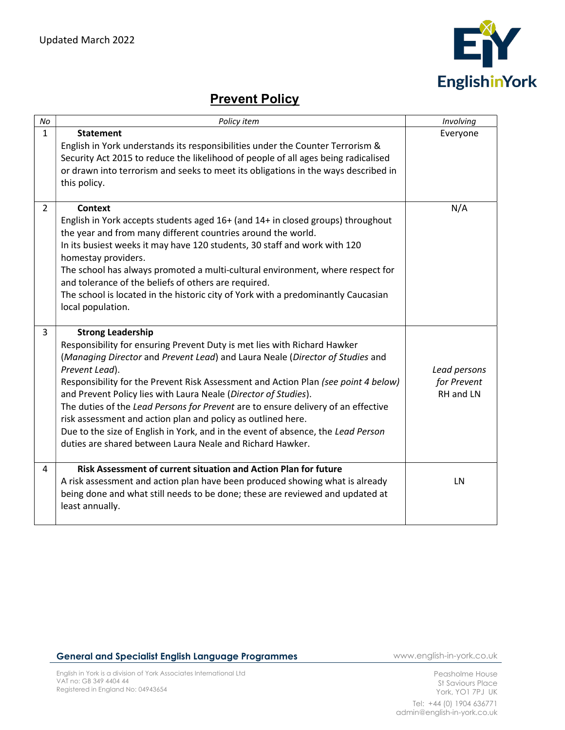

## **Prevent Policy**

| No             | Policy item                                                                                                                                                                                                                                                                                                                                                                                                                                                                                                                                                                                                                                                            | Involving                                |
|----------------|------------------------------------------------------------------------------------------------------------------------------------------------------------------------------------------------------------------------------------------------------------------------------------------------------------------------------------------------------------------------------------------------------------------------------------------------------------------------------------------------------------------------------------------------------------------------------------------------------------------------------------------------------------------------|------------------------------------------|
| $\mathbf{1}$   | <b>Statement</b><br>English in York understands its responsibilities under the Counter Terrorism &<br>Security Act 2015 to reduce the likelihood of people of all ages being radicalised<br>or drawn into terrorism and seeks to meet its obligations in the ways described in<br>this policy.                                                                                                                                                                                                                                                                                                                                                                         | Everyone                                 |
| $\overline{2}$ | <b>Context</b><br>English in York accepts students aged 16+ (and 14+ in closed groups) throughout<br>the year and from many different countries around the world.<br>In its busiest weeks it may have 120 students, 30 staff and work with 120<br>homestay providers.<br>The school has always promoted a multi-cultural environment, where respect for<br>and tolerance of the beliefs of others are required.<br>The school is located in the historic city of York with a predominantly Caucasian<br>local population.                                                                                                                                              | N/A                                      |
| 3              | <b>Strong Leadership</b><br>Responsibility for ensuring Prevent Duty is met lies with Richard Hawker<br>(Managing Director and Prevent Lead) and Laura Neale (Director of Studies and<br>Prevent Lead).<br>Responsibility for the Prevent Risk Assessment and Action Plan (see point 4 below)<br>and Prevent Policy lies with Laura Neale (Director of Studies).<br>The duties of the Lead Persons for Prevent are to ensure delivery of an effective<br>risk assessment and action plan and policy as outlined here.<br>Due to the size of English in York, and in the event of absence, the Lead Person<br>duties are shared between Laura Neale and Richard Hawker. | Lead persons<br>for Prevent<br>RH and LN |
| 4              | Risk Assessment of current situation and Action Plan for future<br>A risk assessment and action plan have been produced showing what is already<br>being done and what still needs to be done; these are reviewed and updated at<br>least annually.                                                                                                                                                                                                                                                                                                                                                                                                                    | <b>LN</b>                                |

## General and Specialist English Language Programmes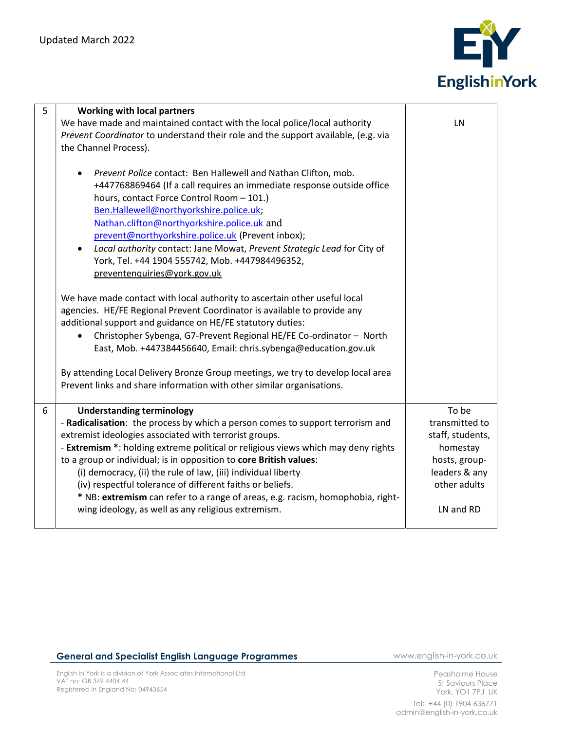

| 5 | <b>Working with local partners</b>                                                   |                  |
|---|--------------------------------------------------------------------------------------|------------------|
|   | We have made and maintained contact with the local police/local authority            | LN               |
|   | Prevent Coordinator to understand their role and the support available, (e.g. via    |                  |
|   | the Channel Process).                                                                |                  |
|   |                                                                                      |                  |
|   | Prevent Police contact: Ben Hallewell and Nathan Clifton, mob.                       |                  |
|   | +447768869464 (If a call requires an immediate response outside office               |                  |
|   | hours, contact Force Control Room - 101.)                                            |                  |
|   | Ben.Hallewell@northyorkshire.police.uk;                                              |                  |
|   | Nathan.clifton@northyorkshire.police.uk and                                          |                  |
|   | prevent@northyorkshire.police.uk (Prevent inbox);                                    |                  |
|   | Local authority contact: Jane Mowat, Prevent Strategic Lead for City of<br>$\bullet$ |                  |
|   | York, Tel. +44 1904 555742, Mob. +447984496352,                                      |                  |
|   | preventenquiries@york.gov.uk                                                         |                  |
|   |                                                                                      |                  |
|   | We have made contact with local authority to ascertain other useful local            |                  |
|   | agencies. HE/FE Regional Prevent Coordinator is available to provide any             |                  |
|   | additional support and guidance on HE/FE statutory duties:                           |                  |
|   | Christopher Sybenga, G7-Prevent Regional HE/FE Co-ordinator - North                  |                  |
|   | East, Mob. +447384456640, Email: chris.sybenga@education.gov.uk                      |                  |
|   | By attending Local Delivery Bronze Group meetings, we try to develop local area      |                  |
|   | Prevent links and share information with other similar organisations.                |                  |
|   |                                                                                      |                  |
| 6 | <b>Understanding terminology</b>                                                     | To be            |
|   | - Radicalisation: the process by which a person comes to support terrorism and       | transmitted to   |
|   | extremist ideologies associated with terrorist groups.                               | staff, students, |
|   | - Extremism *: holding extreme political or religious views which may deny rights    | homestay         |
|   | to a group or individual; is in opposition to core British values:                   | hosts, group-    |
|   | (i) democracy, (ii) the rule of law, (iii) individual liberty                        | leaders & any    |
|   | (iv) respectful tolerance of different faiths or beliefs.                            | other adults     |
|   | * NB: extremism can refer to a range of areas, e.g. racism, homophobia, right-       |                  |
|   | wing ideology, as well as any religious extremism.                                   | LN and RD        |
|   |                                                                                      |                  |

## General and Specialist English Language Programmes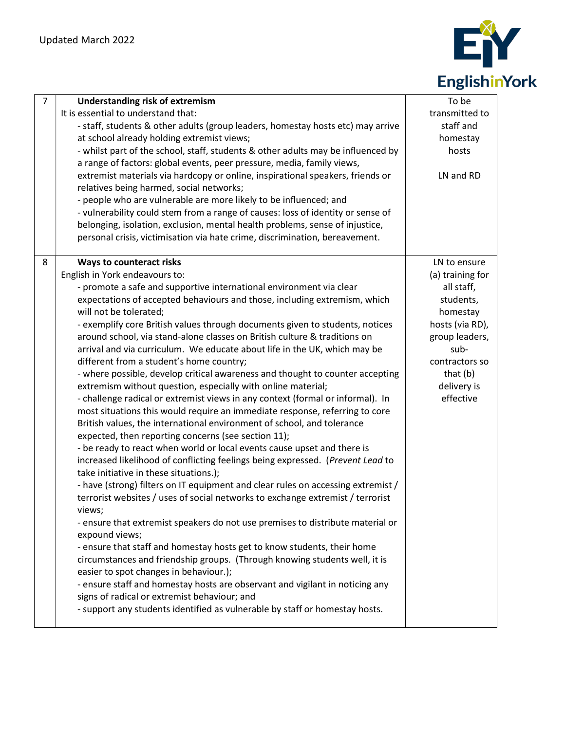

| $\overline{7}$ | <b>Understanding risk of extremism</b><br>It is essential to understand that:<br>- staff, students & other adults (group leaders, homestay hosts etc) may arrive<br>at school already holding extremist views;<br>- whilst part of the school, staff, students & other adults may be influenced by<br>a range of factors: global events, peer pressure, media, family views,<br>extremist materials via hardcopy or online, inspirational speakers, friends or<br>relatives being harmed, social networks;<br>- people who are vulnerable are more likely to be influenced; and<br>- vulnerability could stem from a range of causes: loss of identity or sense of<br>belonging, isolation, exclusion, mental health problems, sense of injustice,<br>personal crisis, victimisation via hate crime, discrimination, bereavement.                                                                                                                                                                                                                                                                                                                                                                                                                                                                                                                                                                                                                                                                                                                                                                                                                                                                                                                                                                                                                                                                     | To be<br>transmitted to<br>staff and<br>homestay<br>hosts<br>LN and RD                                                                                                           |
|----------------|-------------------------------------------------------------------------------------------------------------------------------------------------------------------------------------------------------------------------------------------------------------------------------------------------------------------------------------------------------------------------------------------------------------------------------------------------------------------------------------------------------------------------------------------------------------------------------------------------------------------------------------------------------------------------------------------------------------------------------------------------------------------------------------------------------------------------------------------------------------------------------------------------------------------------------------------------------------------------------------------------------------------------------------------------------------------------------------------------------------------------------------------------------------------------------------------------------------------------------------------------------------------------------------------------------------------------------------------------------------------------------------------------------------------------------------------------------------------------------------------------------------------------------------------------------------------------------------------------------------------------------------------------------------------------------------------------------------------------------------------------------------------------------------------------------------------------------------------------------------------------------------------------------|----------------------------------------------------------------------------------------------------------------------------------------------------------------------------------|
| 8              | <b>Ways to counteract risks</b><br>English in York endeavours to:<br>- promote a safe and supportive international environment via clear<br>expectations of accepted behaviours and those, including extremism, which<br>will not be tolerated;<br>- exemplify core British values through documents given to students, notices<br>around school, via stand-alone classes on British culture & traditions on<br>arrival and via curriculum. We educate about life in the UK, which may be<br>different from a student's home country;<br>- where possible, develop critical awareness and thought to counter accepting<br>extremism without question, especially with online material;<br>- challenge radical or extremist views in any context (formal or informal). In<br>most situations this would require an immediate response, referring to core<br>British values, the international environment of school, and tolerance<br>expected, then reporting concerns (see section 11);<br>- be ready to react when world or local events cause upset and there is<br>increased likelihood of conflicting feelings being expressed. (Prevent Lead to<br>take initiative in these situations.);<br>- have (strong) filters on IT equipment and clear rules on accessing extremist /<br>terrorist websites / uses of social networks to exchange extremist / terrorist<br>views;<br>- ensure that extremist speakers do not use premises to distribute material or<br>expound views;<br>- ensure that staff and homestay hosts get to know students, their home<br>circumstances and friendship groups. (Through knowing students well, it is<br>easier to spot changes in behaviour.);<br>- ensure staff and homestay hosts are observant and vigilant in noticing any<br>signs of radical or extremist behaviour; and<br>- support any students identified as vulnerable by staff or homestay hosts. | LN to ensure<br>(a) training for<br>all staff,<br>students,<br>homestay<br>hosts (via RD),<br>group leaders,<br>sub-<br>contractors so<br>that $(b)$<br>delivery is<br>effective |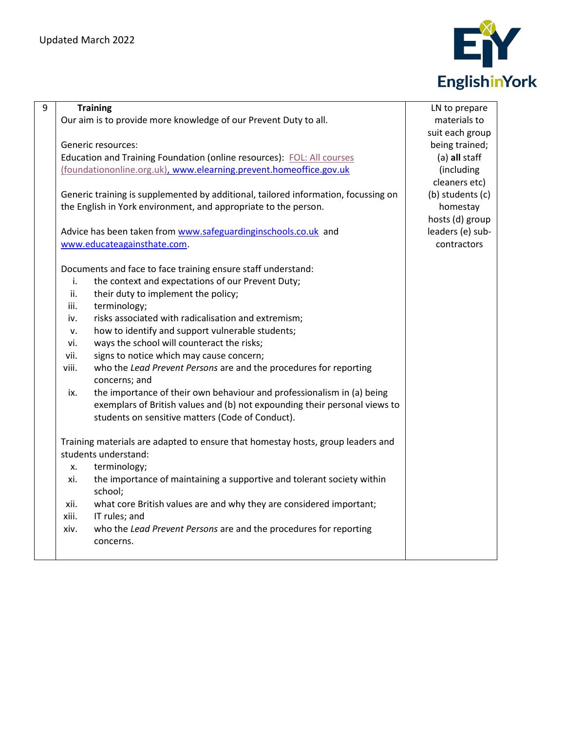

| 9 |       | <b>Training</b>                                                                    | LN to prepare    |
|---|-------|------------------------------------------------------------------------------------|------------------|
|   |       | Our aim is to provide more knowledge of our Prevent Duty to all.                   | materials to     |
|   |       |                                                                                    | suit each group  |
|   |       | Generic resources:                                                                 | being trained;   |
|   |       | Education and Training Foundation (online resources): FOL: All courses             | (a) all staff    |
|   |       | (foundationonline.org.uk), www.elearning.prevent.homeoffice.gov.uk                 | (including       |
|   |       |                                                                                    | cleaners etc)    |
|   |       | Generic training is supplemented by additional, tailored information, focussing on | (b) students (c) |
|   |       | the English in York environment, and appropriate to the person.                    | homestay         |
|   |       |                                                                                    | hosts (d) group  |
|   |       | Advice has been taken from www.safeguardinginschools.co.uk and                     | leaders (e) sub- |
|   |       | www.educateagainsthate.com.                                                        | contractors      |
|   |       |                                                                                    |                  |
|   |       | Documents and face to face training ensure staff understand:                       |                  |
|   | i.    | the context and expectations of our Prevent Duty;                                  |                  |
|   | ii.   | their duty to implement the policy;                                                |                  |
|   | iii.  | terminology;                                                                       |                  |
|   | iv.   | risks associated with radicalisation and extremism;                                |                  |
|   | v.    | how to identify and support vulnerable students;                                   |                  |
|   | vi.   | ways the school will counteract the risks;                                         |                  |
|   | vii.  | signs to notice which may cause concern;                                           |                  |
|   | viii. | who the Lead Prevent Persons are and the procedures for reporting                  |                  |
|   |       | concerns; and                                                                      |                  |
|   | ix.   | the importance of their own behaviour and professionalism in (a) being             |                  |
|   |       | exemplars of British values and (b) not expounding their personal views to         |                  |
|   |       | students on sensitive matters (Code of Conduct).                                   |                  |
|   |       |                                                                                    |                  |
|   |       | Training materials are adapted to ensure that homestay hosts, group leaders and    |                  |
|   |       | students understand:                                                               |                  |
|   | X.    | terminology;                                                                       |                  |
|   | xi.   | the importance of maintaining a supportive and tolerant society within             |                  |
|   |       | school;                                                                            |                  |
|   | xii.  | what core British values are and why they are considered important;                |                  |
|   | xiii. | IT rules; and                                                                      |                  |
|   | xiv.  | who the Lead Prevent Persons are and the procedures for reporting                  |                  |
|   |       | concerns.                                                                          |                  |
|   |       |                                                                                    |                  |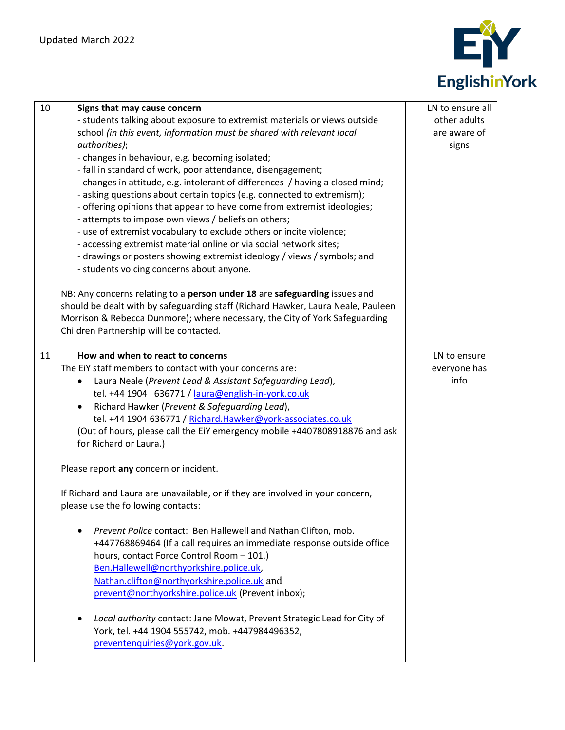

| 10 | Signs that may cause concern<br>- students talking about exposure to extremist materials or views outside<br>school (in this event, information must be shared with relevant local<br>authorities);<br>- changes in behaviour, e.g. becoming isolated;<br>- fall in standard of work, poor attendance, disengagement;<br>- changes in attitude, e.g. intolerant of differences / having a closed mind;<br>- asking questions about certain topics (e.g. connected to extremism);<br>- offering opinions that appear to have come from extremist ideologies;<br>- attempts to impose own views / beliefs on others;<br>- use of extremist vocabulary to exclude others or incite violence;<br>- accessing extremist material online or via social network sites;<br>- drawings or posters showing extremist ideology / views / symbols; and<br>- students voicing concerns about anyone.                                                                                                                                                                                                                           | LN to ensure all<br>other adults<br>are aware of<br>signs |
|----|-------------------------------------------------------------------------------------------------------------------------------------------------------------------------------------------------------------------------------------------------------------------------------------------------------------------------------------------------------------------------------------------------------------------------------------------------------------------------------------------------------------------------------------------------------------------------------------------------------------------------------------------------------------------------------------------------------------------------------------------------------------------------------------------------------------------------------------------------------------------------------------------------------------------------------------------------------------------------------------------------------------------------------------------------------------------------------------------------------------------|-----------------------------------------------------------|
|    | NB: Any concerns relating to a person under 18 are safeguarding issues and<br>should be dealt with by safeguarding staff (Richard Hawker, Laura Neale, Pauleen<br>Morrison & Rebecca Dunmore); where necessary, the City of York Safeguarding<br>Children Partnership will be contacted.                                                                                                                                                                                                                                                                                                                                                                                                                                                                                                                                                                                                                                                                                                                                                                                                                          |                                                           |
| 11 | How and when to react to concerns<br>The EiY staff members to contact with your concerns are:<br>Laura Neale (Prevent Lead & Assistant Safeguarding Lead),<br>tel. +44 1904 636771 / laura@english-in-york.co.uk<br>Richard Hawker (Prevent & Safeguarding Lead),<br>tel. +44 1904 636771 / Richard.Hawker@york-associates.co.uk<br>(Out of hours, please call the EiY emergency mobile +4407808918876 and ask<br>for Richard or Laura.)<br>Please report any concern or incident.<br>If Richard and Laura are unavailable, or if they are involved in your concern,<br>please use the following contacts:<br>Prevent Police contact: Ben Hallewell and Nathan Clifton, mob.<br>+447768869464 (If a call requires an immediate response outside office<br>hours, contact Force Control Room - 101.)<br>Ben.Hallewell@northyorkshire.police.uk,<br>Nathan.clifton@northyorkshire.police.uk and<br>prevent@northyorkshire.police.uk (Prevent inbox);<br>Local authority contact: Jane Mowat, Prevent Strategic Lead for City of<br>York, tel. +44 1904 555742, mob. +447984496352,<br>preventenquiries@york.gov.uk. | LN to ensure<br>everyone has<br>info                      |